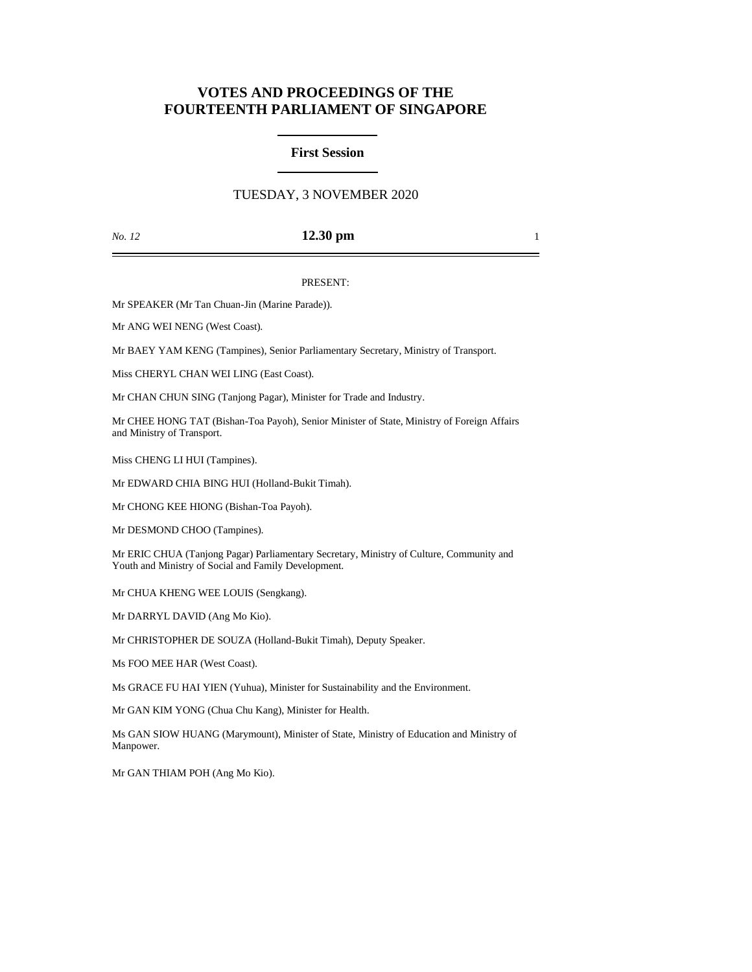# **VOTES AND PROCEEDINGS OF THE FOURTEENTH PARLIAMENT OF SINGAPORE**

#### **First Session**

## TUESDAY, 3 NOVEMBER 2020

#### *No. 12* **12.30 pm** 1

#### PRESENT:

Mr SPEAKER (Mr Tan Chuan-Jin (Marine Parade)).

Mr ANG WEI NENG (West Coast).

Mr BAEY YAM KENG (Tampines), Senior Parliamentary Secretary, Ministry of Transport.

Miss CHERYL CHAN WEI LING (East Coast).

Mr CHAN CHUN SING (Tanjong Pagar), Minister for Trade and Industry.

Mr CHEE HONG TAT (Bishan-Toa Payoh), Senior Minister of State, Ministry of Foreign Affairs and Ministry of Transport.

Miss CHENG LI HUI (Tampines).

Mr EDWARD CHIA BING HUI (Holland-Bukit Timah).

Mr CHONG KEE HIONG (Bishan-Toa Payoh).

Mr DESMOND CHOO (Tampines).

Mr ERIC CHUA (Tanjong Pagar) Parliamentary Secretary, Ministry of Culture, Community and Youth and Ministry of Social and Family Development.

Mr CHUA KHENG WEE LOUIS (Sengkang).

Mr DARRYL DAVID (Ang Mo Kio).

Mr CHRISTOPHER DE SOUZA (Holland-Bukit Timah), Deputy Speaker.

Ms FOO MEE HAR (West Coast).

Ms GRACE FU HAI YIEN (Yuhua), Minister for Sustainability and the Environment.

Mr GAN KIM YONG (Chua Chu Kang), Minister for Health.

Ms GAN SIOW HUANG (Marymount), Minister of State, Ministry of Education and Ministry of Manpower.

Mr GAN THIAM POH (Ang Mo Kio).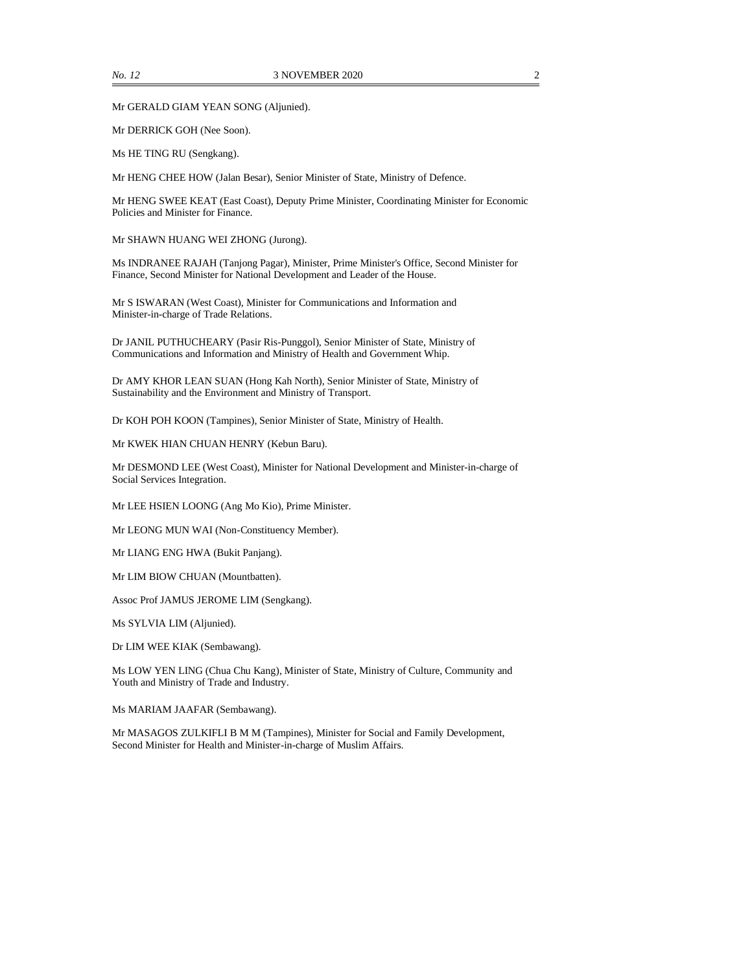Mr GERALD GIAM YEAN SONG (Aljunied).

Mr DERRICK GOH (Nee Soon).

Ms HE TING RU (Sengkang).

Mr HENG CHEE HOW (Jalan Besar), Senior Minister of State, Ministry of Defence.

Mr HENG SWEE KEAT (East Coast), Deputy Prime Minister, Coordinating Minister for Economic Policies and Minister for Finance.

Mr SHAWN HUANG WEI ZHONG (Jurong).

Ms INDRANEE RAJAH (Tanjong Pagar), Minister, Prime Minister's Office, Second Minister for Finance, Second Minister for National Development and Leader of the House.

Mr S ISWARAN (West Coast), Minister for Communications and Information and Minister-in-charge of Trade Relations.

Dr JANIL PUTHUCHEARY (Pasir Ris-Punggol), Senior Minister of State, Ministry of Communications and Information and Ministry of Health and Government Whip.

Dr AMY KHOR LEAN SUAN (Hong Kah North), Senior Minister of State, Ministry of Sustainability and the Environment and Ministry of Transport.

Dr KOH POH KOON (Tampines), Senior Minister of State, Ministry of Health.

Mr KWEK HIAN CHUAN HENRY (Kebun Baru).

Mr DESMOND LEE (West Coast), Minister for National Development and Minister-in-charge of Social Services Integration.

Mr LEE HSIEN LOONG (Ang Mo Kio), Prime Minister.

Mr LEONG MUN WAI (Non-Constituency Member).

Mr LIANG ENG HWA (Bukit Panjang).

Mr LIM BIOW CHUAN (Mountbatten).

Assoc Prof JAMUS JEROME LIM (Sengkang).

Ms SYLVIA LIM (Aljunied).

Dr LIM WEE KIAK (Sembawang).

Ms LOW YEN LING (Chua Chu Kang), Minister of State, Ministry of Culture, Community and Youth and Ministry of Trade and Industry.

Ms MARIAM JAAFAR (Sembawang).

Mr MASAGOS ZULKIFLI B M M (Tampines), Minister for Social and Family Development, Second Minister for Health and Minister-in-charge of Muslim Affairs.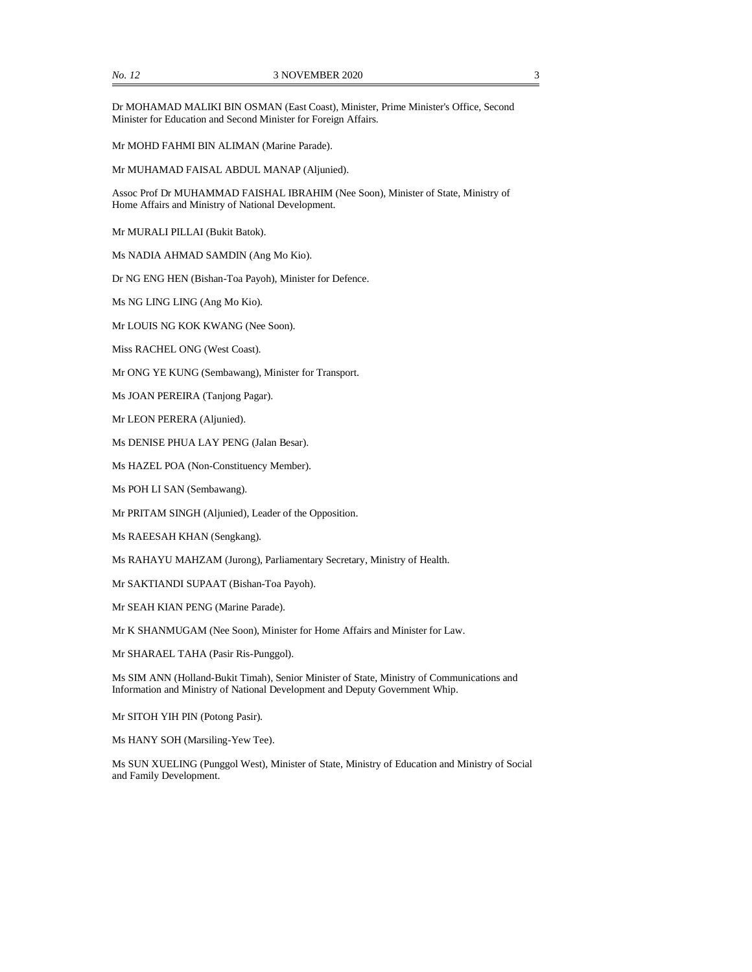Mr MOHD FAHMI BIN ALIMAN (Marine Parade).

Mr MUHAMAD FAISAL ABDUL MANAP (Aljunied).

Assoc Prof Dr MUHAMMAD FAISHAL IBRAHIM (Nee Soon), Minister of State, Ministry of Home Affairs and Ministry of National Development.

Mr MURALI PILLAI (Bukit Batok).

Ms NADIA AHMAD SAMDIN (Ang Mo Kio).

Dr NG ENG HEN (Bishan-Toa Payoh), Minister for Defence.

Ms NG LING LING (Ang Mo Kio).

Mr LOUIS NG KOK KWANG (Nee Soon).

Miss RACHEL ONG (West Coast).

Mr ONG YE KUNG (Sembawang), Minister for Transport.

Ms JOAN PEREIRA (Tanjong Pagar).

Mr LEON PERERA (Aljunied).

Ms DENISE PHUA LAY PENG (Jalan Besar).

Ms HAZEL POA (Non-Constituency Member).

Ms POH LI SAN (Sembawang).

Mr PRITAM SINGH (Aljunied), Leader of the Opposition.

Ms RAEESAH KHAN (Sengkang).

Ms RAHAYU MAHZAM (Jurong), Parliamentary Secretary, Ministry of Health.

Mr SAKTIANDI SUPAAT (Bishan-Toa Payoh).

Mr SEAH KIAN PENG (Marine Parade).

Mr K SHANMUGAM (Nee Soon), Minister for Home Affairs and Minister for Law.

Mr SHARAEL TAHA (Pasir Ris-Punggol).

Ms SIM ANN (Holland-Bukit Timah), Senior Minister of State, Ministry of Communications and Information and Ministry of National Development and Deputy Government Whip.

Mr SITOH YIH PIN (Potong Pasir).

Ms HANY SOH (Marsiling-Yew Tee).

Ms SUN XUELING (Punggol West), Minister of State, Ministry of Education and Ministry of Social and Family Development.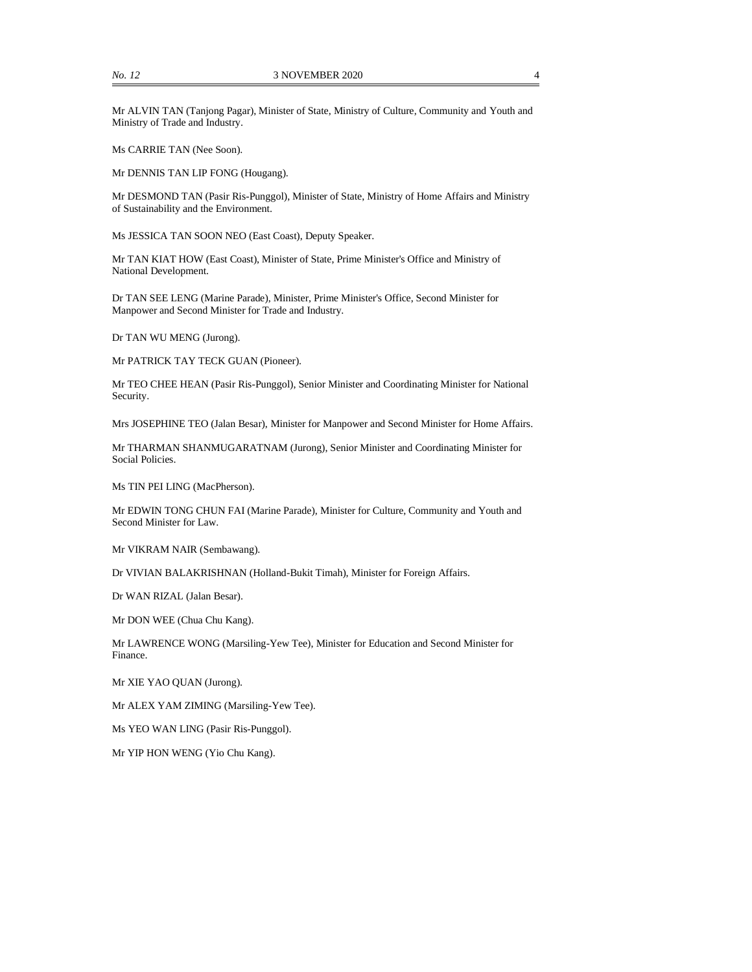Mr ALVIN TAN (Tanjong Pagar), Minister of State, Ministry of Culture, Community and Youth and Ministry of Trade and Industry.

Ms CARRIE TAN (Nee Soon).

Mr DENNIS TAN LIP FONG (Hougang).

Mr DESMOND TAN (Pasir Ris-Punggol), Minister of State, Ministry of Home Affairs and Ministry of Sustainability and the Environment.

Ms JESSICA TAN SOON NEO (East Coast), Deputy Speaker.

Mr TAN KIAT HOW (East Coast), Minister of State, Prime Minister's Office and Ministry of National Development.

Dr TAN SEE LENG (Marine Parade), Minister, Prime Minister's Office, Second Minister for Manpower and Second Minister for Trade and Industry.

Dr TAN WU MENG (Jurong).

Mr PATRICK TAY TECK GUAN (Pioneer).

Mr TEO CHEE HEAN (Pasir Ris-Punggol), Senior Minister and Coordinating Minister for National Security.

Mrs JOSEPHINE TEO (Jalan Besar), Minister for Manpower and Second Minister for Home Affairs.

Mr THARMAN SHANMUGARATNAM (Jurong), Senior Minister and Coordinating Minister for Social Policies.

Ms TIN PEI LING (MacPherson).

Mr EDWIN TONG CHUN FAI (Marine Parade), Minister for Culture, Community and Youth and Second Minister for Law.

Mr VIKRAM NAIR (Sembawang).

Dr VIVIAN BALAKRISHNAN (Holland-Bukit Timah), Minister for Foreign Affairs.

Dr WAN RIZAL (Jalan Besar).

Mr DON WEE (Chua Chu Kang).

Mr LAWRENCE WONG (Marsiling-Yew Tee), Minister for Education and Second Minister for Finance.

Mr XIE YAO QUAN (Jurong).

Mr ALEX YAM ZIMING (Marsiling-Yew Tee).

Ms YEO WAN LING (Pasir Ris-Punggol).

Mr YIP HON WENG (Yio Chu Kang).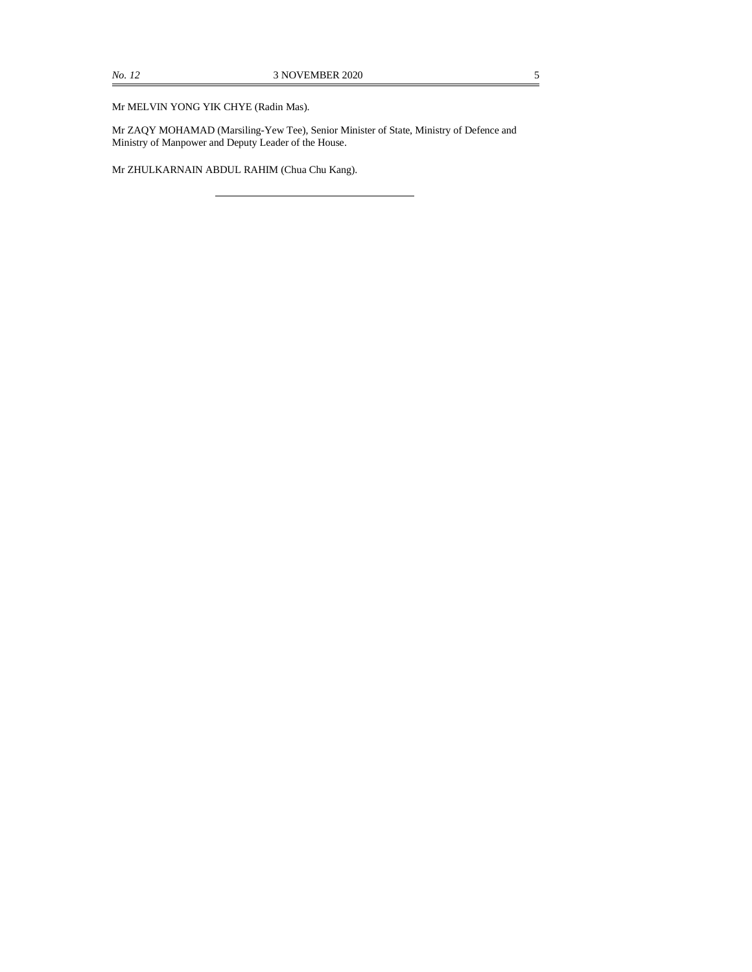Mr MELVIN YONG YIK CHYE (Radin Mas).

Mr ZAQY MOHAMAD (Marsiling-Yew Tee), Senior Minister of State, Ministry of Defence and Ministry of Manpower and Deputy Leader of the House.

Mr ZHULKARNAIN ABDUL RAHIM (Chua Chu Kang).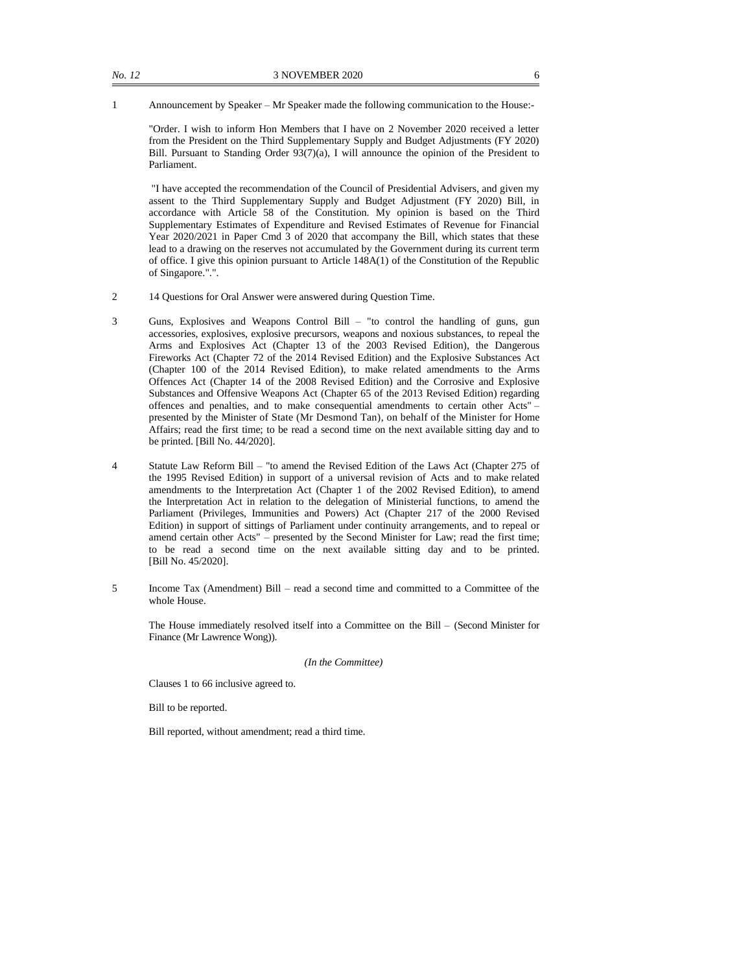1 Announcement by Speaker – Mr Speaker made the following communication to the House:-

"Order. I wish to inform Hon Members that I have on 2 November 2020 received a letter from the President on the Third Supplementary Supply and Budget Adjustments (FY 2020) Bill. Pursuant to Standing Order 93(7)(a), I will announce the opinion of the President to Parliament.

"I have accepted the recommendation of the Council of Presidential Advisers, and given my assent to the Third Supplementary Supply and Budget Adjustment (FY 2020) Bill, in accordance with Article 58 of the Constitution. My opinion is based on the Third Supplementary Estimates of Expenditure and Revised Estimates of Revenue for Financial Year 2020/2021 in Paper Cmd 3 of 2020 that accompany the Bill, which states that these lead to a drawing on the reserves not accumulated by the Government during its current term of office. I give this opinion pursuant to Article 148A(1) of the Constitution of the Republic of Singapore.".".

- 2 14 Questions for Oral Answer were answered during Question Time.
- 3 Guns, Explosives and Weapons Control Bill "to control the handling of guns, gun accessories, explosives, explosive precursors, weapons and noxious substances, to repeal the Arms and Explosives Act (Chapter 13 of the 2003 Revised Edition), the Dangerous Fireworks Act (Chapter 72 of the 2014 Revised Edition) and the Explosive Substances Act (Chapter 100 of the 2014 Revised Edition), to make related amendments to the Arms Offences Act (Chapter 14 of the 2008 Revised Edition) and the Corrosive and Explosive Substances and Offensive Weapons Act (Chapter 65 of the 2013 Revised Edition) regarding offences and penalties, and to make consequential amendments to certain other Acts" – presented by the Minister of State (Mr Desmond Tan), on behalf of the Minister for Home Affairs; read the first time; to be read a second time on the next available sitting day and to be printed. [Bill No. 44/2020].
- 4 Statute Law Reform Bill "to amend the Revised Edition of the Laws Act (Chapter 275 of the 1995 Revised Edition) in support of a universal revision of Acts and to make related amendments to the Interpretation Act (Chapter 1 of the 2002 Revised Edition), to amend the Interpretation Act in relation to the delegation of Ministerial functions, to amend the Parliament (Privileges, Immunities and Powers) Act (Chapter 217 of the 2000 Revised Edition) in support of sittings of Parliament under continuity arrangements, and to repeal or amend certain other Acts" – presented by the Second Minister for Law; read the first time; to be read a second time on the next available sitting day and to be printed. [Bill No. 45/2020].
- 5 Income Tax (Amendment) Bill read a second time and committed to a Committee of the whole House.

The House immediately resolved itself into a Committee on the Bill – (Second Minister for Finance (Mr Lawrence Wong)).

*(In the Committee)*

Clauses 1 to 66 inclusive agreed to.

Bill to be reported.

Bill reported, without amendment; read a third time.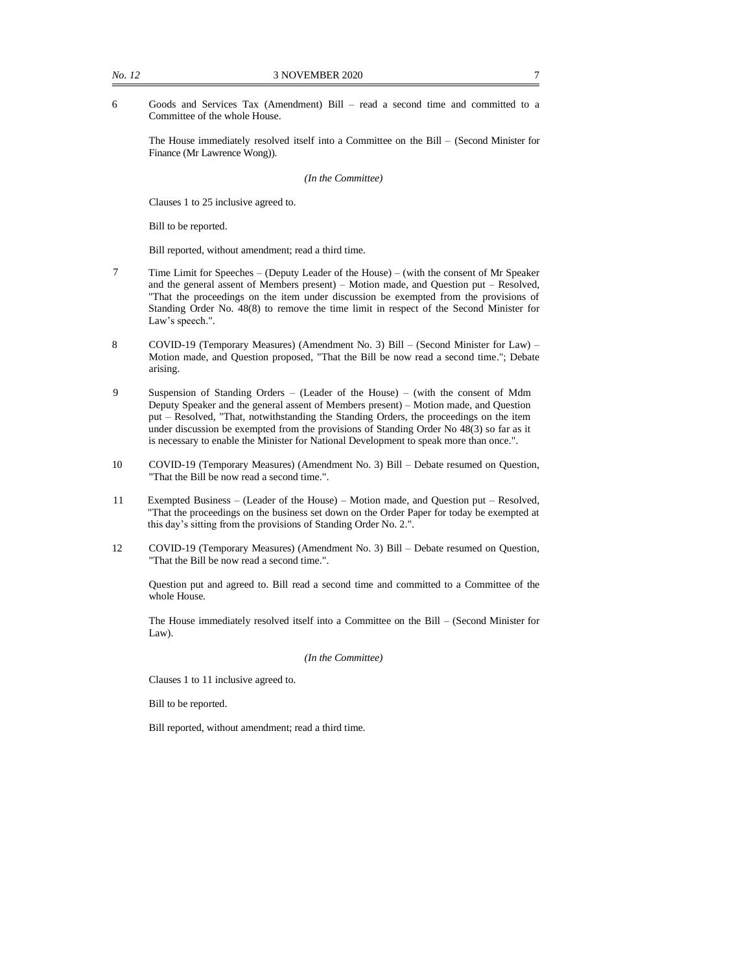6 Goods and Services Tax (Amendment) Bill – read a second time and committed to a Committee of the whole House.

The House immediately resolved itself into a Committee on the Bill – (Second Minister for Finance (Mr Lawrence Wong)).

*(In the Committee)*

Clauses 1 to 25 inclusive agreed to.

Bill to be reported.

Bill reported, without amendment; read a third time.

- 7 Time Limit for Speeches (Deputy Leader of the House) (with the consent of Mr Speaker and the general assent of Members present) – Motion made, and Question put – Resolved, "That the proceedings on the item under discussion be exempted from the provisions of Standing Order No. 48(8) to remove the time limit in respect of the Second Minister for Law's speech.".
- 8 COVID-19 (Temporary Measures) (Amendment No. 3) Bill (Second Minister for Law) Motion made, and Question proposed, "That the Bill be now read a second time."; Debate arising.
- 9 Suspension of Standing Orders (Leader of the House) (with the consent of Mdm Deputy Speaker and the general assent of Members present) – Motion made, and Question put – Resolved, "That, notwithstanding the Standing Orders, the proceedings on the item under discussion be exempted from the provisions of Standing Order No 48(3) so far as it is necessary to enable the Minister for National Development to speak more than once.".
- 10 COVID-19 (Temporary Measures) (Amendment No. 3) Bill Debate resumed on Question, "That the Bill be now read a second time.".
- 11 Exempted Business (Leader of the House) Motion made, and Question put Resolved, "That the proceedings on the business set down on the Order Paper for today be exempted at this day's sitting from the provisions of Standing Order No. 2.".
- 12 COVID-19 (Temporary Measures) (Amendment No. 3) Bill Debate resumed on Question, "That the Bill be now read a second time.".

Question put and agreed to. Bill read a second time and committed to a Committee of the whole House.

The House immediately resolved itself into a Committee on the Bill – (Second Minister for Law).

*(In the Committee)*

Clauses 1 to 11 inclusive agreed to.

Bill to be reported.

Bill reported, without amendment; read a third time.